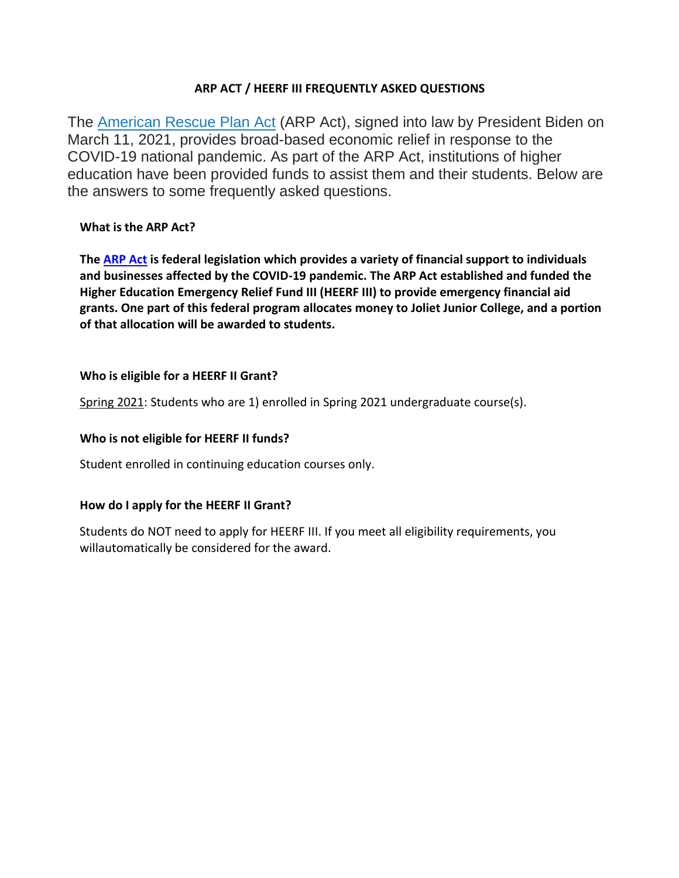### **ARP ACT / HEERF III FREQUENTLY ASKED QUESTIONS**

The [American Rescue Plan Act](https://www2.ed.gov/about/offices/list/ope/arp.html) (ARP Act), signed into law by President Biden on March 11, 2021, provides broad-based economic relief in response to the COVID-19 national pandemic. As part of the ARP Act, institutions of higher education have been provided funds to assist them and their students. Below are the answers to some frequently asked questions.

### **What is the ARP Act?**

**The [ARP Act](https://www2.ed.gov/about/offices/list/ope/arp.html) is federal legislation which provides a variety of financial support to individuals and businesses affected by the COVID-19 pandemic. The ARP Act established and funded the Higher Education Emergency Relief Fund III (HEERF III) to provide emergency financial aid grants. One part of this federal program allocates money to Joliet Junior College, and a portion of that allocation will be awarded to students.**

# **Who is eligible for a HEERF II Grant?**

Spring 2021: Students who are 1) enrolled in Spring 2021 undergraduate course(s).

### **Who is not eligible for HEERF II funds?**

Student enrolled in continuing education courses only.

### **How do I apply for the HEERF II Grant?**

Students do NOT need to apply for HEERF III. If you meet all eligibility requirements, you willautomatically be considered for the award.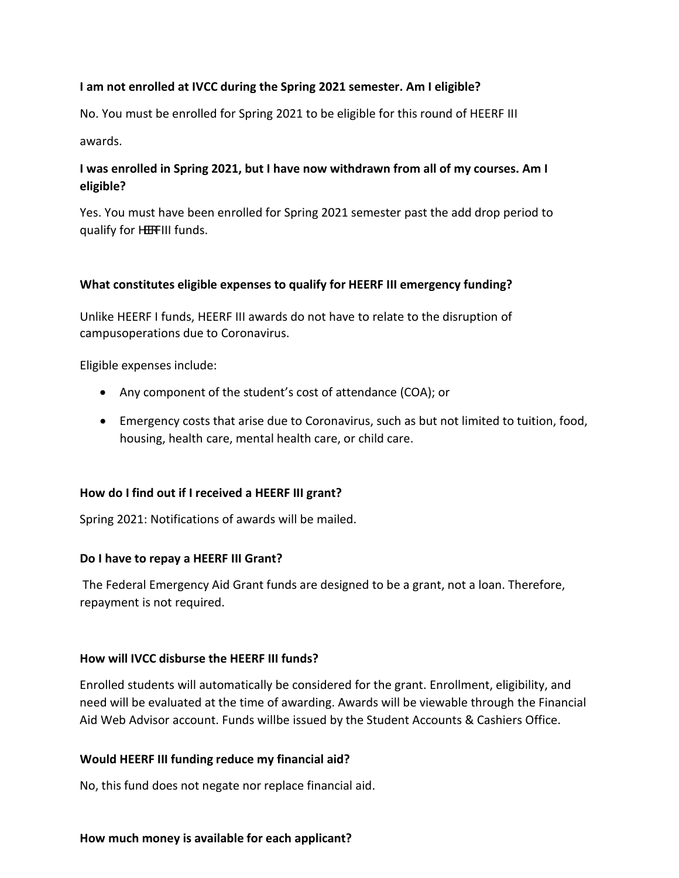#### **I am not enrolled at IVCC during the Spring 2021 semester. Am I eligible?**

No. You must be enrolled for Spring 2021 to be eligible for this round of HEERF III

awards.

# **I was enrolled in Spring 2021, but I have now withdrawn from all of my courses. Am I eligible?**

Yes. You must have been enrolled for Spring 2021 semester past the add drop period to qualify for HEFIII funds.

#### **What constitutes eligible expenses to qualify for HEERF III emergency funding?**

Unlike HEERF I funds, HEERF III awards do not have to relate to the disruption of campusoperations due to Coronavirus.

Eligible expenses include:

- Any component of the student's cost of attendance (COA); or
- Emergency costs that arise due to Coronavirus, such as but not limited to tuition, food, housing, health care, mental health care, or child care.

### **How do I find out if I received a HEERF III grant?**

Spring 2021: Notifications of awards will be mailed.

#### **Do I have to repay a HEERF III Grant?**

The Federal Emergency Aid Grant funds are designed to be a grant, not a loan. Therefore, repayment is not required.

#### **How will IVCC disburse the HEERF III funds?**

Enrolled students will automatically be considered for the grant. Enrollment, eligibility, and need will be evaluated at the time of awarding. Awards will be viewable through the Financial Aid Web Advisor account. Funds willbe issued by the Student Accounts & Cashiers Office.

#### **Would HEERF III funding reduce my financial aid?**

No, this fund does not negate nor replace financial aid.

#### **How much money is available for each applicant?**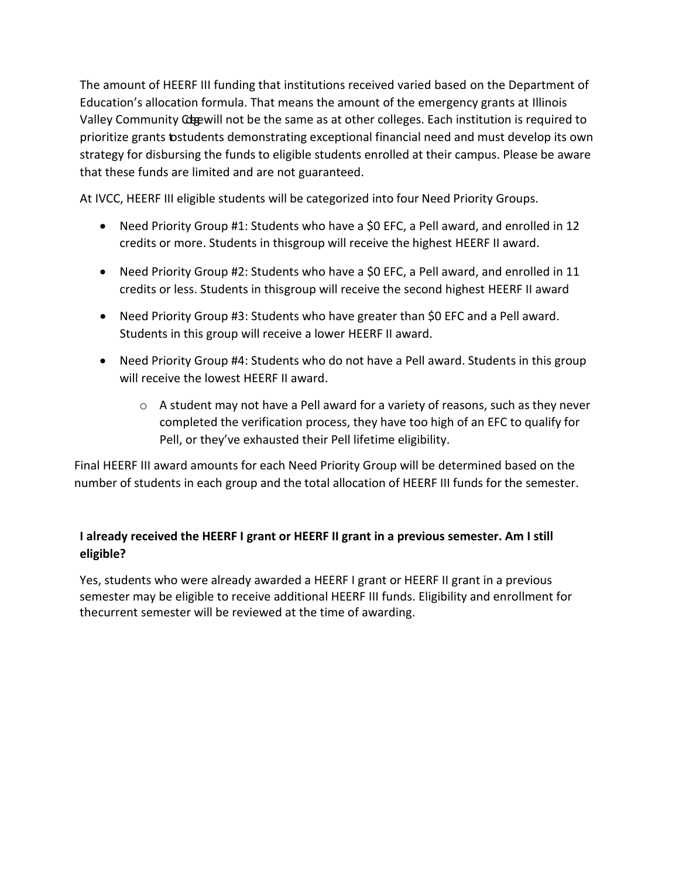The amount of HEERF III funding that institutions received varied based on the Department of Education's allocation formula. That means the amount of the emergency grants at Illinois Valley Community Colegewill not be the same as at other colleges. Each institution is required to prioritize grants tostudents demonstrating exceptional financial need and must develop its own strategy for disbursing the funds to eligible students enrolled at their campus. Please be aware that these funds are limited and are not guaranteed.

At IVCC, HEERF III eligible students will be categorized into four Need Priority Groups.

- Need Priority Group #1: Students who have a \$0 EFC, a Pell award, and enrolled in 12 credits or more. Students in thisgroup will receive the highest HEERF II award.
- Need Priority Group #2: Students who have a \$0 EFC, a Pell award, and enrolled in 11 credits or less. Students in thisgroup will receive the second highest HEERF II award
- Need Priority Group #3: Students who have greater than \$0 EFC and a Pell award. Students in this group will receive a lower HEERF II award.
- Need Priority Group #4: Students who do not have a Pell award. Students in this group will receive the lowest HEERF II award.
	- o A student may not have a Pell award for a variety of reasons, such as they never completed the verification process, they have too high of an EFC to qualify for Pell, or they've exhausted their Pell lifetime eligibility.

Final HEERF III award amounts for each Need Priority Group will be determined based on the number of students in each group and the total allocation of HEERF III funds for the semester.

# **I already received the HEERF I grant or HEERF II grant in a previous semester. Am I still eligible?**

Yes, students who were already awarded a HEERF I grant or HEERF II grant in a previous semester may be eligible to receive additional HEERF III funds. Eligibility and enrollment for thecurrent semester will be reviewed at the time of awarding.